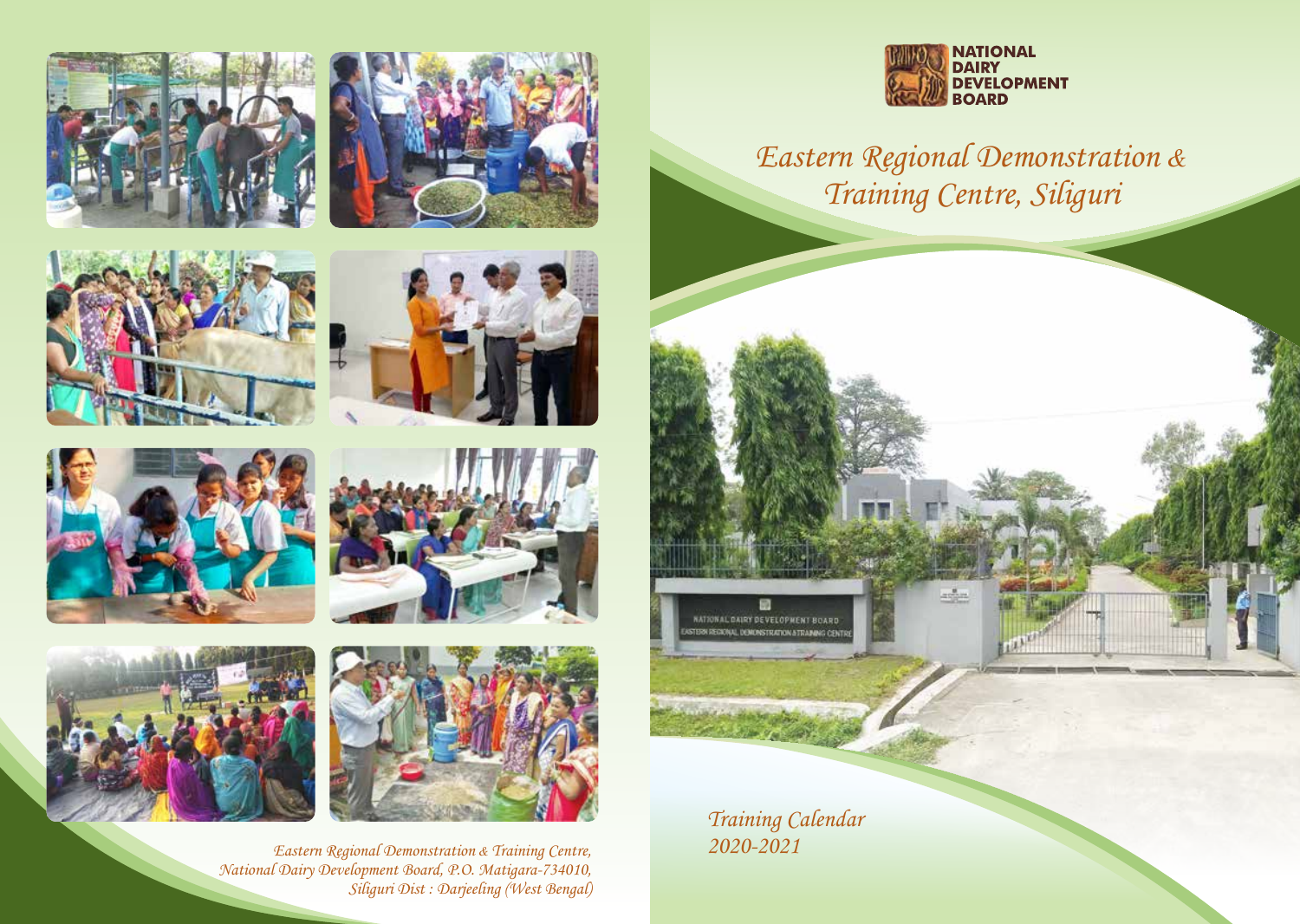















Eastern Regional Demonstration *&* Training Centre, National Dairy Development Board, P.O. Matigara-734010, Siliguri Dist : Darjeeling (West Bengal)



Eastern Regional Demonstration *&* Training Centre, Siliguri

Training Calendar 2020-2021

m **NATIONAL DAIRY DEVELOPMENT BOARD** ERN REGIONAL DEMONSTRATION & TRAINING CENTS